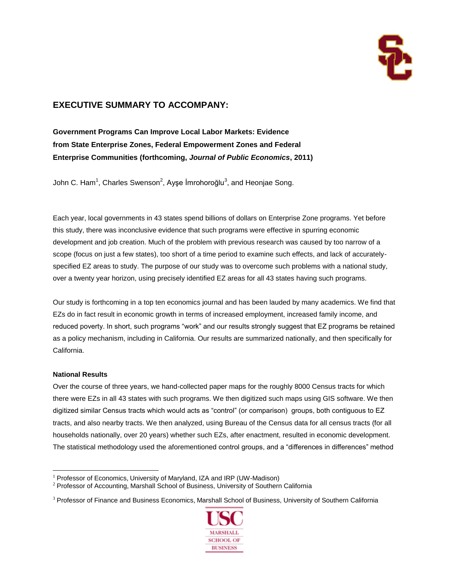

# **EXECUTIVE SUMMARY TO ACCOMPANY:**

**Government Programs Can Improve Local Labor Markets: Evidence from State Enterprise Zones, Federal Empowerment Zones and Federal Enterprise Communities (forthcoming,** *Journal of Public Economics***, 2011)**

John C. Ham<sup>1</sup>, Charles Swenson<sup>2</sup>, Ayşe İmrohoroğlu<sup>3</sup>, and Heonjae Song.

Each year, local governments in 43 states spend billions of dollars on Enterprise Zone programs. Yet before this study, there was inconclusive evidence that such programs were effective in spurring economic development and job creation. Much of the problem with previous research was caused by too narrow of a scope (focus on just a few states), too short of a time period to examine such effects, and lack of accuratelyspecified EZ areas to study. The purpose of our study was to overcome such problems with a national study, over a twenty year horizon, using precisely identified EZ areas for all 43 states having such programs.

Our study is forthcoming in a top ten economics journal and has been lauded by many academics. We find that EZs do in fact result in economic growth in terms of increased employment, increased family income, and reduced poverty. In short, such programs "work" and our results strongly suggest that EZ programs be retained as a policy mechanism, including in California. Our results are summarized nationally, and then specifically for California.

# **National Results**

 $\overline{a}$ 

Over the course of three years, we hand-collected paper maps for the roughly 8000 Census tracts for which there were EZs in all 43 states with such programs. We then digitized such maps using GIS software. We then digitized similar Census tracts which would acts as "control" (or comparison) groups, both contiguous to EZ tracts, and also nearby tracts. We then analyzed, using Bureau of the Census data for all census tracts (for all households nationally, over 20 years) whether such EZs, after enactment, resulted in economic development. The statistical methodology used the aforementioned control groups, and a "differences in differences" method

<sup>&</sup>lt;sup>3</sup> Professor of Finance and Business Economics, Marshall School of Business, University of Southern California



 $1$  Professor of Economics, University of Maryland, IZA and IRP (UW-Madison)

<sup>2</sup> Professor of Accounting, Marshall School of Business, University of Southern California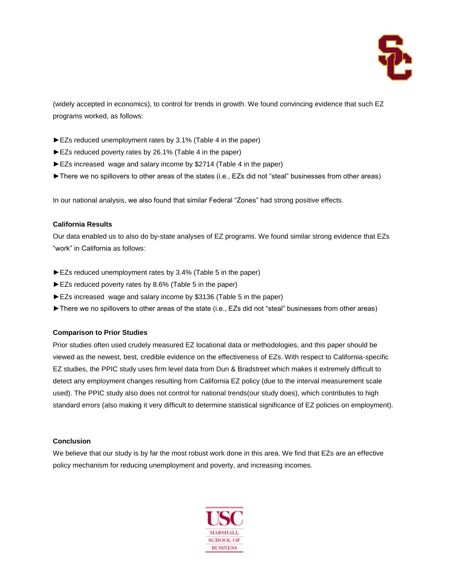

(widely accepted in economics), to control for trends in growth. We found convincing evidence that such EZ programs worked, as follows:

- ►EZs reduced unemployment rates by 3.1% (Table 4 in the paper)
- ►EZs reduced poverty rates by 26.1% (Table 4 in the paper)
- ►EZs increased wage and salary income by \$2714 (Table 4 in the paper)
- ►There we no spillovers to other areas of the states (i.e., EZs did not "steal" businesses from other areas)

In our national analysis, we also found that similar Federal "Zones" had strong positive effects.

# **California Results**

Our data enabled us to also do by-state analyses of EZ programs. We found similar strong evidence that EZs "work" in California as follows:

- ►EZs reduced unemployment rates by 3.4% (Table 5 in the paper)
- ►EZs reduced poverty rates by 8.6% (Table 5 in the paper)
- ►EZs increased wage and salary income by \$3136 (Table 5 in the paper)
- ►There we no spillovers to other areas of the state (i.e., EZs did not "steal" businesses from other areas)

# **Comparison to Prior Studies**

Prior studies often used crudely measured EZ locational data or methodologies, and this paper should be viewed as the newest, best, credible evidence on the effectiveness of EZs. With respect to California-specific EZ studies, the PPIC study uses firm level data from Dun & Bradstreet which makes it extremely difficult to detect any employment changes resulting from California EZ policy (due to the interval measurement scale used). The PPIC study also does not control for national trends(our study does), which contributes to high standard errors (also making it very difficult to determine statistical significance of EZ policies on employment).

# **Conclusion**

We believe that our study is by far the most robust work done in this area. We find that EZs are an effective policy mechanism for reducing unemployment and poverty, and increasing incomes.